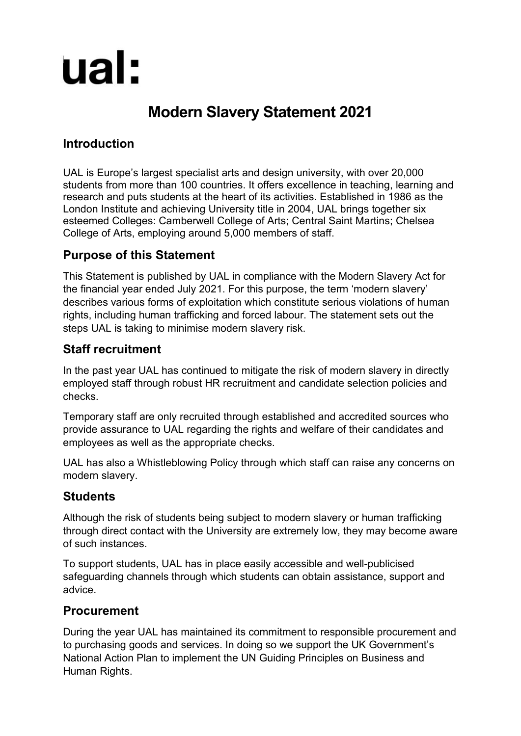# ual:

# **Modern Slavery Statement 2021**

### **Introduction**

UAL is Europe's largest specialist arts and design university, with over 20,000 students from more than 100 countries. It offers excellence in teaching, learning and research and puts students at the heart of its activities. Established in 1986 as the London Institute and achieving University title in 2004, UAL brings together six esteemed Colleges: Camberwell College of Arts; Central Saint Martins; Chelsea College of Arts, employing around 5,000 members of staff.

#### **Purpose of this Statement**

This Statement is published by UAL in compliance with the Modern Slavery Act for the financial year ended July 2021. For this purpose, the term 'modern slavery' describes various forms of exploitation which constitute serious violations of human rights, including human trafficking and forced labour. The statement sets out the steps UAL is taking to minimise modern slavery risk.

#### **Staff recruitment**

In the past year UAL has continued to mitigate the risk of modern slavery in directly employed staff through robust HR recruitment and candidate selection policies and checks.

Temporary staff are only recruited through established and accredited sources who provide assurance to UAL regarding the rights and welfare of their candidates and employees as well as the appropriate checks.

UAL has also a Whistleblowing Policy through which staff can raise any concerns on modern slavery.

## **Students**

Although the risk of students being subject to modern slavery or human trafficking through direct contact with the University are extremely low, they may become aware of such instances.

To support students, UAL has in place easily accessible and well-publicised safeguarding channels through which students can obtain assistance, support and advice.

#### **Procurement**

During the year UAL has maintained its commitment to responsible procurement and to purchasing goods and services. In doing so we support the UK Government's National Action Plan to implement the UN Guiding Principles on Business and Human Rights.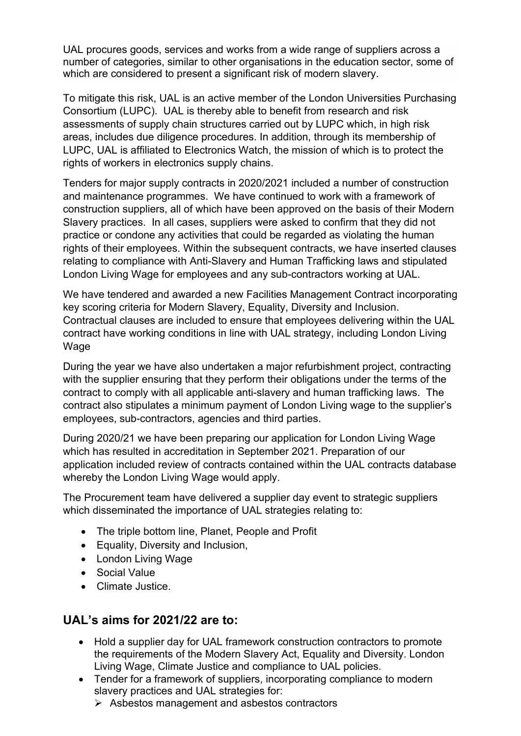UAL procures goods, services and works from a wide range of suppliers across a number of categories, similar to other organisations in the education sector, some of which are considered to present a significant risk of modern slavery.

To mitigate this risk, UAL is an active member of the London Universities Purchasing Consortium (LUPC). UAL is thereby able to benefit from research and risk assessments of supply chain structures carried out by LUPC which, in high risk areas, includes due diligence procedures. In addition, through its membership of LUPC, UAL is affiliated to Electronics Watch, the mission of which is to protect the rights of workers in electronics supply chains.

Tenders for major supply contracts in 2020/2021 included a number of construction and maintenance programmes. We have continued to work with a framework of construction suppliers, all of which have been approved on the basis of their Modern Slavery practices. In all cases, suppliers were asked to confirm that they did not practice or condone any activities that could be regarded as violating the human rights of their employees. Within the subsequent contracts, we have inserted clauses relating to compliance with Anti-Slavery and Human Trafficking laws and stipulated London Living Wage for employees and any sub-contractors working at UAL.

We have tendered and awarded a new Facilities Management Contract incorporating key scoring criteria for Modern Slavery, Equality, Diversity and Inclusion. Contractual clauses are included to ensure that employees delivering within the UAL contract have working conditions in line with UAL strategy, including London Living Wage

During the year we have also undertaken a major refurbishment project, contracting with the supplier ensuring that they perform their obligations under the terms of the contract to comply with all applicable anti-slavery and human trafficking laws. The contract also stipulates a minimum payment of London Living wage to the supplier's employees, sub-contractors, agencies and third parties.

During 2020/21 we have been preparing our application for London Living Wage which has resulted in accreditation in September 2021. Preparation of our application included review of contracts contained within the UAL contracts database whereby the London Living Wage would apply.

The Procurement team have delivered a supplier day event to strategic suppliers which disseminated the importance of UAL strategies relating to:

- The triple bottom line, Planet, People and Profit
- Equality, Diversity and Inclusion,
- London Living Wage
- Social Value
- Climate Justice.

#### **UAL's aims for 2021/22 are to:**

- Hold a supplier day for UAL framework construction contractors to promote the requirements of the Modern Slavery Act, Equality and Diversity. London Living Wage, Climate Justice and compliance to UAL policies.
- Tender for a framework of suppliers, incorporating compliance to modern slavery practices and UAL strategies for:
	- $\triangleright$  Asbestos management and asbestos contractors